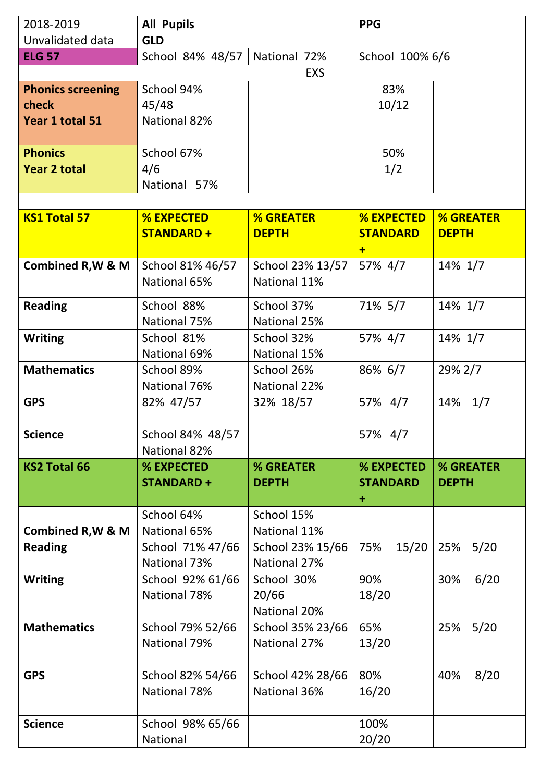| 2018-2019                    | <b>All Pupils</b>                |                                  | <b>PPG</b>             |                  |
|------------------------------|----------------------------------|----------------------------------|------------------------|------------------|
| Unvalidated data             | <b>GLD</b>                       |                                  |                        |                  |
| <b>ELG 57</b>                | School 84% 48/57                 | National 72%                     | School 100% 6/6        |                  |
|                              | <b>EXS</b>                       |                                  |                        |                  |
| <b>Phonics screening</b>     | School 94%                       |                                  | 83%                    |                  |
| check                        | 45/48                            |                                  | 10/12                  |                  |
| Year 1 total 51              | National 82%                     |                                  |                        |                  |
| <b>Phonics</b>               | School 67%                       |                                  | 50%                    |                  |
| <b>Year 2 total</b>          | 4/6                              |                                  | 1/2                    |                  |
|                              | National 57%                     |                                  |                        |                  |
|                              |                                  |                                  |                        |                  |
| <b>KS1 Total 57</b>          | <b>% EXPECTED</b>                | <b>% GREATER</b>                 | <b>% EXPECTED</b>      | <b>% GREATER</b> |
|                              | <b>STANDARD+</b>                 | <b>DEPTH</b>                     | <b>STANDARD</b><br>$+$ | <b>DEPTH</b>     |
| Combined R, W & M            | School 81% 46/57                 | School 23% 13/57                 | 57% 4/7                | 14% 1/7          |
|                              | National 65%                     | National 11%                     |                        |                  |
| <b>Reading</b>               | School 88%                       | School 37%                       | 71% 5/7                | 14% 1/7          |
|                              | National 75%                     | National 25%                     |                        |                  |
| <b>Writing</b>               | School 81%                       | School 32%                       | 57% 4/7                | 14% 1/7          |
|                              | <b>National 69%</b>              | National 15%                     |                        |                  |
| <b>Mathematics</b>           | School 89%                       | School 26%                       | 86% 6/7                | 29% 2/7          |
|                              | National 76%                     | National 22%                     |                        |                  |
| <b>GPS</b>                   | 82% 47/57                        | 32% 18/57                        | 57% 4/7                | 14% 1/7          |
| <b>Science</b>               | School 84% 48/57                 |                                  | 57% 4/7                |                  |
|                              | National 82%                     |                                  |                        |                  |
| <b>KS2 Total 66</b>          | % EXPECTED                       | % GREATER                        | % EXPECTED             | % GREATER        |
|                              | <b>STANDARD +</b>                | <b>DEPTH</b>                     | <b>STANDARD</b>        | <b>DEPTH</b>     |
|                              |                                  |                                  | $\ddot{}$              |                  |
|                              | School 64%                       | School 15%                       |                        |                  |
| <b>Combined R, W &amp; M</b> | National 65%                     | National 11%                     |                        |                  |
| <b>Reading</b>               | School 71% 47/66<br>National 73% | School 23% 15/66<br>National 27% | 75%<br>15/20           | 5/20<br>25%      |
| <b>Writing</b>               | School 92% 61/66                 | School 30%                       | 90%                    | 6/20<br>30%      |
|                              | National 78%                     | 20/66                            | 18/20                  |                  |
|                              |                                  | National 20%                     |                        |                  |
| <b>Mathematics</b>           | School 79% 52/66                 | School 35% 23/66                 | 65%                    | $5/20$<br>25%    |
|                              | National 79%                     | National 27%                     | 13/20                  |                  |
| <b>GPS</b>                   |                                  |                                  | 80%                    | 8/20<br>40%      |
|                              | School 82% 54/66<br>National 78% | School 42% 28/66<br>National 36% | 16/20                  |                  |
|                              |                                  |                                  |                        |                  |
| <b>Science</b>               | School 98% 65/66                 |                                  | 100%                   |                  |
|                              | National                         |                                  | 20/20                  |                  |